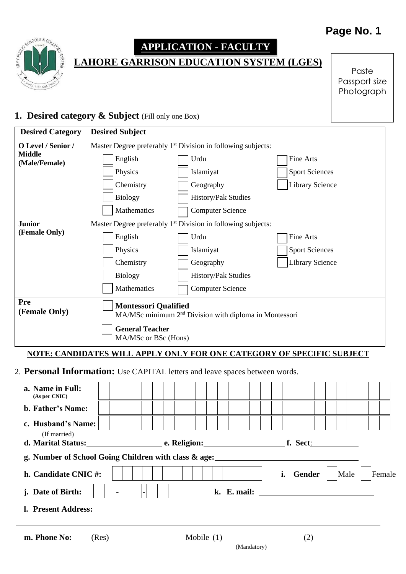## Page No. 1



# **APPLICATION - FACULTY**

**LAHORE GARRISON EDUCATION SYSTEM (LGES)**

Paste Passport size Photograph

#### 1. **Desired category & Subject** (Fill only one Box)

| <b>Desired Category</b>                                                      | <b>Desired Subject</b>                                                                            |                         |                        |  |  |
|------------------------------------------------------------------------------|---------------------------------------------------------------------------------------------------|-------------------------|------------------------|--|--|
| O Level / Senior /                                                           | Master Degree preferably 1 <sup>st</sup> Division in following subjects:                          |                         |                        |  |  |
| <b>Middle</b><br>(Male/Female)                                               | English                                                                                           | Urdu                    | <b>Fine Arts</b>       |  |  |
|                                                                              | Physics                                                                                           | Islamiyat               | <b>Sport Sciences</b>  |  |  |
|                                                                              | Chemistry                                                                                         | Geography               | <b>Library Science</b> |  |  |
|                                                                              | <b>Biology</b>                                                                                    | History/Pak Studies     |                        |  |  |
|                                                                              | Mathematics                                                                                       | <b>Computer Science</b> |                        |  |  |
| <b>Junior</b>                                                                | Master Degree preferably 1 <sup>st</sup> Division in following subjects:                          |                         |                        |  |  |
| (Female Only)                                                                | English                                                                                           | Urdu                    | Fine Arts              |  |  |
|                                                                              | Physics                                                                                           | Islamiyat               | <b>Sport Sciences</b>  |  |  |
|                                                                              | Chemistry                                                                                         | Geography               | <b>Library Science</b> |  |  |
|                                                                              | <b>Biology</b>                                                                                    | History/Pak Studies     |                        |  |  |
|                                                                              | Mathematics                                                                                       | <b>Computer Science</b> |                        |  |  |
| Pre<br>(Female Only)                                                         | <b>Montessori Qualified</b><br>MA/MSc minimum 2 <sup>nd</sup> Division with diploma in Montessori |                         |                        |  |  |
|                                                                              | <b>General Teacher</b><br>MA/MSc or BSc (Hons)                                                    |                         |                        |  |  |
|                                                                              | NOTE: CANDIDATES WILL APPLY ONLY FOR ONE CATEGORY OF SPECIFIC SUBJECT                             |                         |                        |  |  |
| 2. Personal Information: Use CAPITAL letters and leave spaces between words. |                                                                                                   |                         |                        |  |  |
| a. Name in Full:<br>(As per CNIC)                                            |                                                                                                   |                         |                        |  |  |
| b. Father's Name:                                                            |                                                                                                   |                         |                        |  |  |
| c. Husband's Name:                                                           |                                                                                                   |                         |                        |  |  |

## **d. Marital Status: e. Religion: f. Sect**: **g. Number of School Going Children with class & age:**

(If married)

| h. Candidate CNIC#:<br>j. Date of Birth: | $-$   |              | i. Gender   $\vert$ Male   Female |
|------------------------------------------|-------|--------------|-----------------------------------|
| l. Present Address:                      |       |              |                                   |
| m. Phone No:                             | (Res) | Mobile $(1)$ |                                   |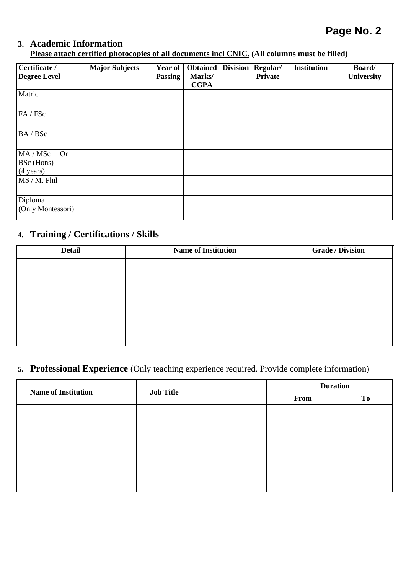### **Page No. 2**

## **3. Academic Information**

**Please attach certified photocopies of all documents incl CNIC. (All columns must be filled)**

| Certificate /<br><b>Degree Level</b>                       | <b>Major Subjects</b> | Year of<br><b>Passing</b> | <b>Obtained</b><br>Marks/<br><b>CGPA</b> | <b>Division</b> | Regular/<br><b>Private</b> | <b>Institution</b> | Board/<br>University |
|------------------------------------------------------------|-----------------------|---------------------------|------------------------------------------|-----------------|----------------------------|--------------------|----------------------|
| Matric                                                     |                       |                           |                                          |                 |                            |                    |                      |
| FA/FSc                                                     |                       |                           |                                          |                 |                            |                    |                      |
| BA / BSc                                                   |                       |                           |                                          |                 |                            |                    |                      |
| MA / MSc<br><b>Or</b><br>BSc (Hons)<br>$(4 \text{ years})$ |                       |                           |                                          |                 |                            |                    |                      |
| MS / M. Phil                                               |                       |                           |                                          |                 |                            |                    |                      |
| Diploma<br>(Only Montessori)                               |                       |                           |                                          |                 |                            |                    |                      |

#### **4. Training / Certifications / Skills**

| <b>Detail</b> | <b>Name of Institution</b> | <b>Grade / Division</b> |
|---------------|----------------------------|-------------------------|
|               |                            |                         |
|               |                            |                         |
|               |                            |                         |
|               |                            |                         |
|               |                            |                         |

#### **5. Professional Experience** (Only teaching experience required. Provide complete information)

| <b>Name of Institution</b> | <b>Job Title</b> | <b>Duration</b> |    |  |
|----------------------------|------------------|-----------------|----|--|
|                            |                  | From            | To |  |
|                            |                  |                 |    |  |
|                            |                  |                 |    |  |
|                            |                  |                 |    |  |
|                            |                  |                 |    |  |
|                            |                  |                 |    |  |